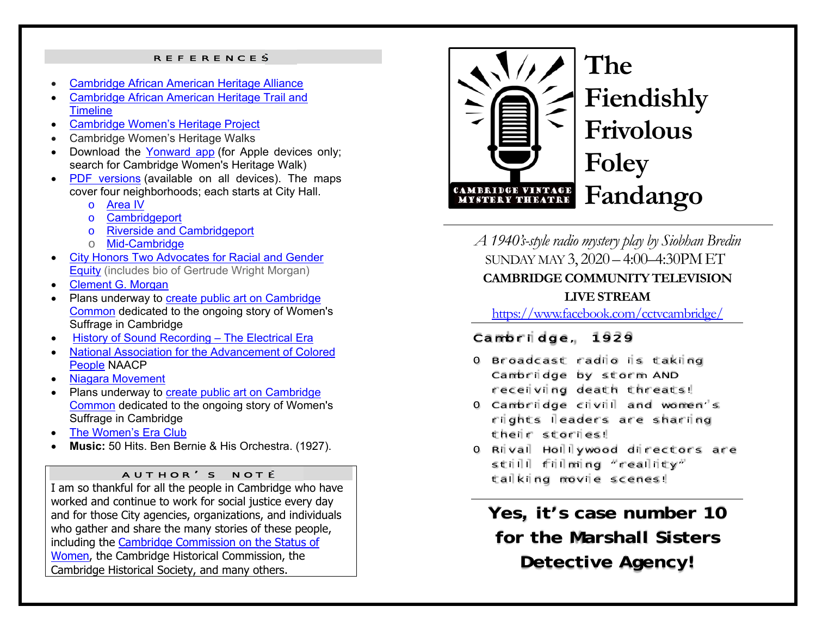#### REFERENCES

- O Cambridge African American Heritage Alliance
- c Cambridge African American Heritage Trail and **Timeline**
- e Cambridge Women's Heritage Project
- Cambridge Women's Heritage Walks
- Download the Yonward app (for Apple devices only; search for Cambridge Women's Heritage Walk)
- c • PDF versions (available on all devices). The maps cover four neighborhoods; each starts at City Hall.
	- o Area IV
	- <sup>o</sup> Cambridgeport
	- <sup>o</sup> Riverside and Cambridgeport
	- o <mark>Mid-Cambridge</mark>
- e City Honors Two Advocates for Racial and Gender Equity (includes bio of Gertrude Wright Morgan)
- c Clement G. Morgan
- Plans underway to create public art on Cambridge Common dedicated to the ongoing story of Women's Suffrage in Cambridge
- c History of Sound Recording - The Electrical Era
- National Association for the Advancement of Colored People NAACP
- <u>Niagara Movement</u>
- Plans underway to create public art on Cambridge Common dedicated to the ongoing story of Women's Suffrage in Cambridge
- 0 The Women's Era Club
- e **Music:** 50 Hits. Ben Bernie & His Orchestra. (1927).

#### AUTHOR ' S NOTE

I am so thankful for all the people in Cambridge who have worked and continue to work for social justice every day and for those City agencies, organizations, and individuals who gather and share the many stories of these people, including the Cambridge Commission on the Status of Women, the Cambridge Historical Commission, the Cambridge Historical Society, and many others.



# **The Fiendishly Frivolous Foley Fandango**

*A 1940's-style radio mystery play by Siobhan Bredin*  SUNDAY MAY 3, 2020 – 4:00–4:30PMET **CAMBRIDGE COMMUNITY TELEVISION LIVE STREAM** 

https://www.facebook.com/cctvcambridge/

## Cambridge, 1929

- o Broadcast radio is taking Cambridge by storm AND receiving death threats!
- o Cambridge civil and women's rights leaders are sharing their stories!
- o Rival Hollywood directors are still filming "reality" talking movie scenes!

**Yes, it's case number 10 for the Marshall Sisters Detective Agency!**